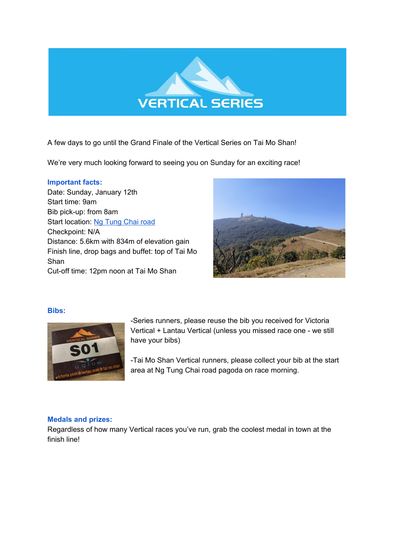

A few days to go until the Grand Finale of the Vertical Series on Tai Mo Shan!

We're very much looking forward to seeing you on Sunday for an exciting race!

### **Important facts:**

Date: Sunday, January 12th Start time: 9am Bib pick-up: from 8am Start location: Ng [Tung](https://www.google.com/maps/@22.4385951,114.1240574,19.76z) Chai road Checkpoint: N/A Distance: 5.6km with 834m of elevation gain Finish line, drop bags and buffet: top of Tai Mo Shan Cut-off time: 12pm noon at Tai Mo Shan



# **Bibs:**



-Series runners, please reuse the bib you received for Victoria Vertical + Lantau Vertical (unless you missed race one - we still have your bibs)

-Tai Mo Shan Vertical runners, please collect your bib at the start area at Ng Tung Chai road pagoda on race morning.

# **Medals and prizes:**

Regardless of how many Vertical races you've run, grab the coolest medal in town at the finish line!